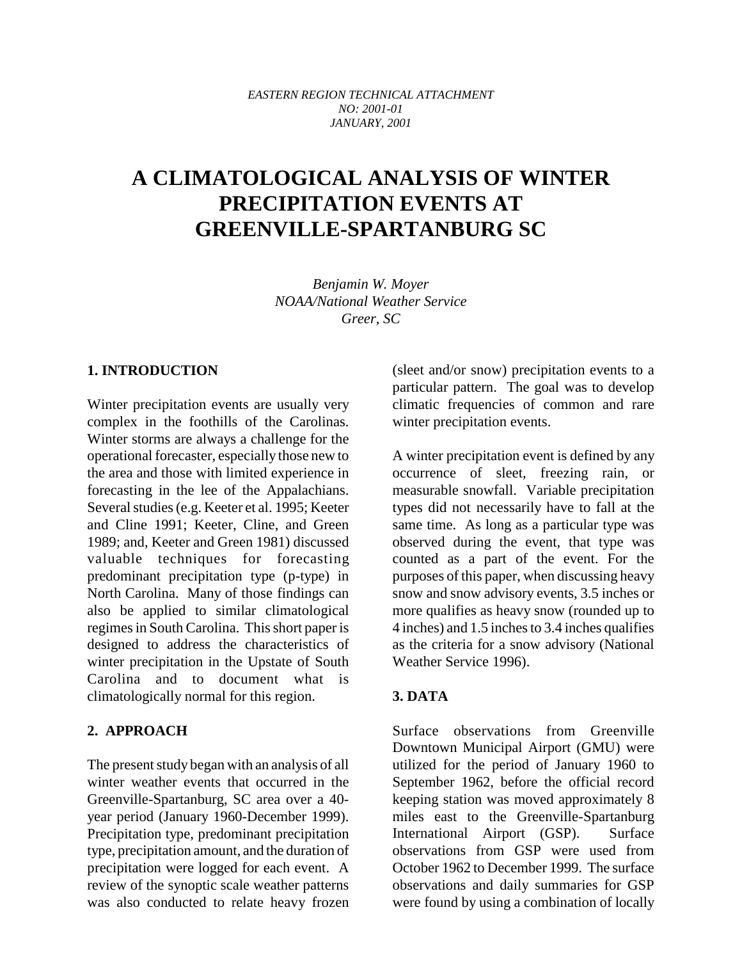*EASTERN REGION TECHNICAL ATTACHMENT NO: 2001-01 JANUARY, 2001*

# **A CLIMATOLOGICAL ANALYSIS OF WINTER PRECIPITATION EVENTS AT GREENVILLE-SPARTANBURG SC**

*Benjamin W. Moyer NOAA/National Weather Service Greer, SC*

#### **1. INTRODUCTION**

Winter precipitation events are usually very complex in the foothills of the Carolinas. Winter storms are always a challenge for the operational forecaster, especially those new to the area and those with limited experience in forecasting in the lee of the Appalachians. Several studies (e.g. Keeter et al. 1995; Keeter and Cline 1991; Keeter, Cline, and Green 1989; and, Keeter and Green 1981) discussed valuable techniques for forecasting predominant precipitation type (p-type) in North Carolina. Many of those findings can also be applied to similar climatological regimes in South Carolina. This short paper is designed to address the characteristics of winter precipitation in the Upstate of South Carolina and to document what is climatologically normal for this region.

#### **2. APPROACH**

The present study began with an analysis of all winter weather events that occurred in the Greenville-Spartanburg, SC area over a 40 year period (January 1960-December 1999). Precipitation type, predominant precipitation type, precipitation amount, and the duration of precipitation were logged for each event. A review of the synoptic scale weather patterns was also conducted to relate heavy frozen (sleet and/or snow) precipitation events to a particular pattern. The goal was to develop climatic frequencies of common and rare winter precipitation events.

A winter precipitation event is defined by any occurrence of sleet, freezing rain, or measurable snowfall. Variable precipitation types did not necessarily have to fall at the same time. As long as a particular type was observed during the event, that type was counted as a part of the event. For the purposes of this paper, when discussing heavy snow and snow advisory events, 3.5 inches or more qualifies as heavy snow (rounded up to 4 inches) and 1.5 inches to 3.4 inches qualifies as the criteria for a snow advisory (National Weather Service 1996).

#### **3. DATA**

Surface observations from Greenville Downtown Municipal Airport (GMU) were utilized for the period of January 1960 to September 1962, before the official record keeping station was moved approximately 8 miles east to the Greenville-Spartanburg International Airport (GSP). Surface observations from GSP were used from October 1962 to December 1999. The surface observations and daily summaries for GSP were found by using a combination of locally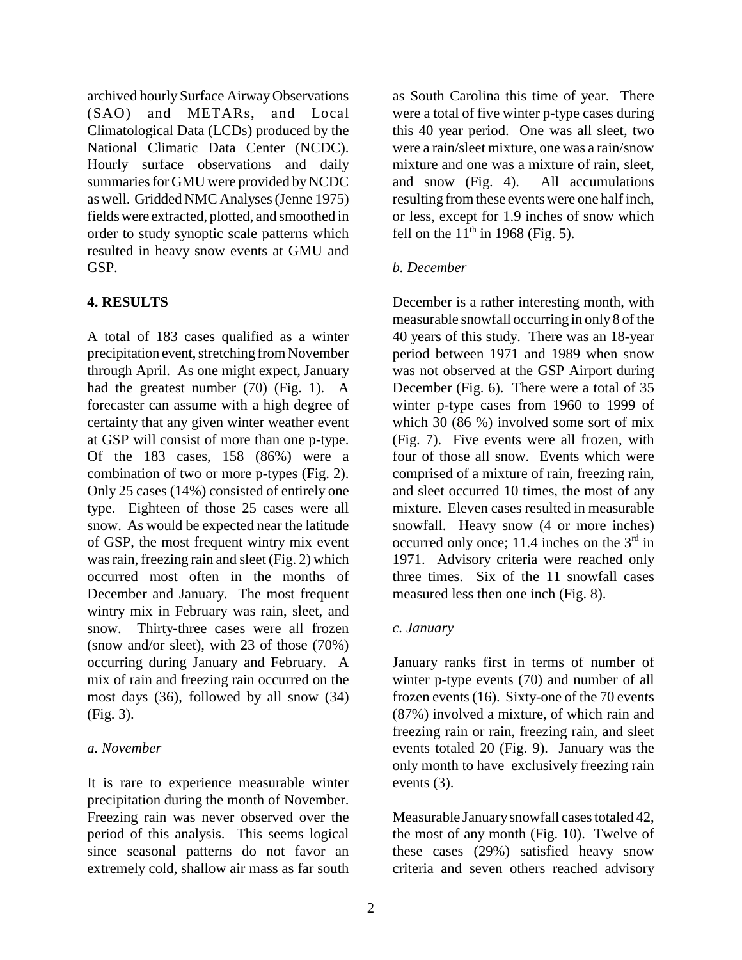archived hourly Surface Airway Observations (SAO) and METARs, and Local Climatological Data (LCDs) produced by the National Climatic Data Center (NCDC). Hourly surface observations and daily summaries for GMU were provided by NCDC as well. Gridded NMC Analyses (Jenne 1975) fields were extracted, plotted, and smoothed in order to study synoptic scale patterns which resulted in heavy snow events at GMU and GSP.

## **4. RESULTS**

A total of 183 cases qualified as a winter precipitation event, stretching from November through April. As one might expect, January had the greatest number (70) (Fig. 1). A forecaster can assume with a high degree of certainty that any given winter weather event at GSP will consist of more than one p-type. Of the 183 cases, 158 (86%) were a combination of two or more p-types (Fig. 2). Only 25 cases (14%) consisted of entirely one type. Eighteen of those 25 cases were all snow. As would be expected near the latitude of GSP, the most frequent wintry mix event was rain, freezing rain and sleet (Fig. 2) which occurred most often in the months of December and January. The most frequent wintry mix in February was rain, sleet, and snow. Thirty-three cases were all frozen (snow and/or sleet), with 23 of those (70%) occurring during January and February. A mix of rain and freezing rain occurred on the most days (36), followed by all snow (34) (Fig. 3).

#### *a. November*

It is rare to experience measurable winter precipitation during the month of November. Freezing rain was never observed over the period of this analysis. This seems logical since seasonal patterns do not favor an extremely cold, shallow air mass as far south

as South Carolina this time of year. There were a total of five winter p-type cases during this 40 year period. One was all sleet, two were a rain/sleet mixture, one was a rain/snow mixture and one was a mixture of rain, sleet, and snow (Fig. 4). All accumulations resulting from these events were one half inch, or less, except for 1.9 inches of snow which fell on the  $11<sup>th</sup>$  in 1968 (Fig. 5).

## *b. December*

December is a rather interesting month, with measurable snowfall occurring in only 8 of the 40 years of this study. There was an 18-year period between 1971 and 1989 when snow was not observed at the GSP Airport during December (Fig. 6). There were a total of 35 winter p-type cases from 1960 to 1999 of which 30 (86 %) involved some sort of mix (Fig. 7). Five events were all frozen, with four of those all snow. Events which were comprised of a mixture of rain, freezing rain, and sleet occurred 10 times, the most of any mixture. Eleven cases resulted in measurable snowfall. Heavy snow (4 or more inches) occurred only once; 11.4 inches on the  $3<sup>rd</sup>$  in 1971. Advisory criteria were reached only three times. Six of the 11 snowfall cases measured less then one inch (Fig. 8).

## *c. January*

January ranks first in terms of number of winter p-type events (70) and number of all frozen events (16). Sixty-one of the 70 events (87%) involved a mixture, of which rain and freezing rain or rain, freezing rain, and sleet events totaled 20 (Fig. 9). January was the only month to have exclusively freezing rain events (3).

Measurable January snowfall cases totaled 42, the most of any month (Fig. 10). Twelve of these cases (29%) satisfied heavy snow criteria and seven others reached advisory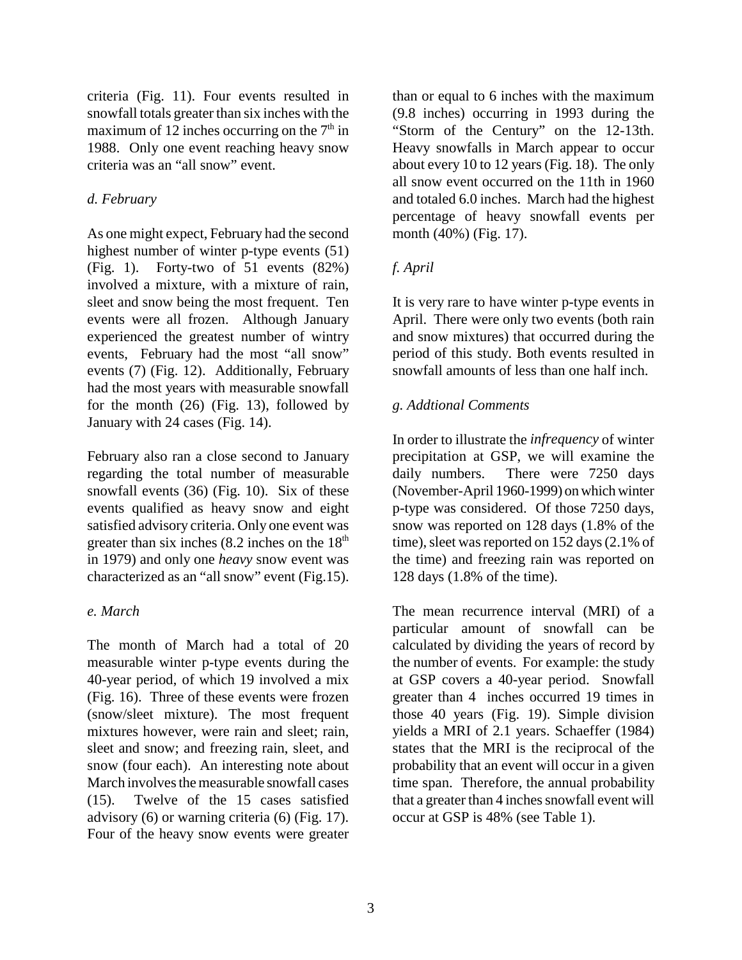criteria (Fig. 11). Four events resulted in snowfall totals greater than six inches with the maximum of 12 inches occurring on the  $7<sup>th</sup>$  in 1988. Only one event reaching heavy snow criteria was an "all snow" event.

## *d. February*

As one might expect, February had the second highest number of winter p-type events (51) (Fig. 1). Forty-two of 51 events (82%) involved a mixture, with a mixture of rain, sleet and snow being the most frequent. Ten events were all frozen. Although January experienced the greatest number of wintry events, February had the most "all snow" events (7) (Fig. 12). Additionally, February had the most years with measurable snowfall for the month  $(26)$  (Fig. 13), followed by January with 24 cases (Fig. 14).

February also ran a close second to January regarding the total number of measurable snowfall events (36) (Fig. 10). Six of these events qualified as heavy snow and eight satisfied advisory criteria. Only one event was greater than six inches  $(8.2 \text{ inches on the } 18^{\text{th}})$ in 1979) and only one *heavy* snow event was characterized as an "all snow" event (Fig.15).

## *e. March*

The month of March had a total of 20 measurable winter p-type events during the 40-year period, of which 19 involved a mix (Fig. 16). Three of these events were frozen (snow/sleet mixture). The most frequent mixtures however, were rain and sleet; rain, sleet and snow; and freezing rain, sleet, and snow (four each). An interesting note about March involves the measurable snowfall cases (15). Twelve of the 15 cases satisfied advisory (6) or warning criteria (6) (Fig. 17). Four of the heavy snow events were greater

than or equal to 6 inches with the maximum (9.8 inches) occurring in 1993 during the "Storm of the Century" on the 12-13th. Heavy snowfalls in March appear to occur about every 10 to 12 years (Fig. 18). The only all snow event occurred on the 11th in 1960 and totaled 6.0 inches. March had the highest percentage of heavy snowfall events per month (40%) (Fig. 17).

## *f. April*

It is very rare to have winter p-type events in April. There were only two events (both rain and snow mixtures) that occurred during the period of this study. Both events resulted in snowfall amounts of less than one half inch.

## *g. Addtional Comments*

In order to illustrate the *infrequency* of winter precipitation at GSP, we will examine the daily numbers. There were 7250 days (November-April 1960-1999) on which winter p-type was considered. Of those 7250 days, snow was reported on 128 days (1.8% of the time), sleet was reported on 152 days (2.1% of the time) and freezing rain was reported on 128 days (1.8% of the time).

The mean recurrence interval (MRI) of a particular amount of snowfall can be calculated by dividing the years of record by the number of events. For example: the study at GSP covers a 40-year period. Snowfall greater than 4 inches occurred 19 times in those 40 years (Fig. 19). Simple division yields a MRI of 2.1 years. Schaeffer (1984) states that the MRI is the reciprocal of the probability that an event will occur in a given time span. Therefore, the annual probability that a greater than 4 inches snowfall event will occur at GSP is 48% (see Table 1).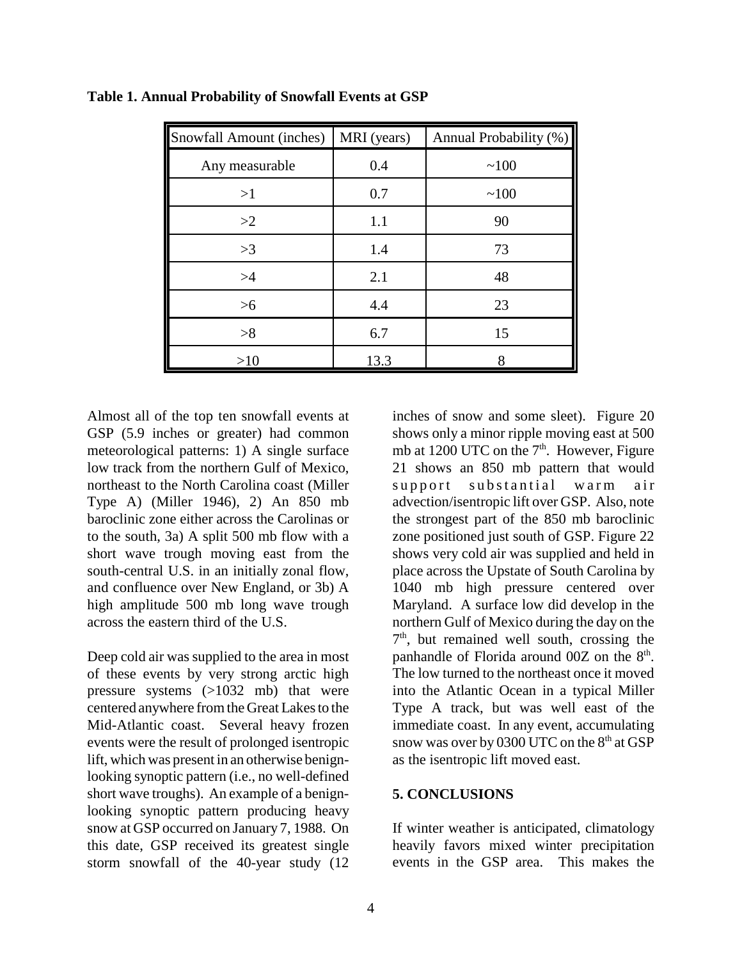| Snowfall Amount (inches) | MRI (years) | Annual Probability (%) |
|--------------------------|-------------|------------------------|
| Any measurable           | 0.4         | ~100                   |
| >1                       | 0.7         | ~100                   |
| >2                       | 1.1         | 90                     |
| >3                       | 1.4         | 73                     |
| >4                       | 2.1         | 48                     |
| $>6$                     | 4.4         | 23                     |
| >8                       | 6.7         | 15                     |
| >10                      | 13.3        |                        |

**Table 1. Annual Probability of Snowfall Events at GSP**

Almost all of the top ten snowfall events at GSP (5.9 inches or greater) had common meteorological patterns: 1) A single surface low track from the northern Gulf of Mexico, northeast to the North Carolina coast (Miller Type A) (Miller 1946), 2) An 850 mb baroclinic zone either across the Carolinas or to the south, 3a) A split 500 mb flow with a short wave trough moving east from the south-central U.S. in an initially zonal flow, and confluence over New England, or 3b) A high amplitude 500 mb long wave trough across the eastern third of the U.S.

Deep cold air was supplied to the area in most of these events by very strong arctic high pressure systems (>1032 mb) that were centered anywhere from the Great Lakes to the Mid-Atlantic coast. Several heavy frozen events were the result of prolonged isentropic lift, which was present in an otherwise benignlooking synoptic pattern (i.e., no well-defined short wave troughs). An example of a benignlooking synoptic pattern producing heavy snow at GSP occurred on January 7, 1988. On this date, GSP received its greatest single storm snowfall of the 40-year study (12

inches of snow and some sleet). Figure 20 shows only a minor ripple moving east at 500 mb at 1200 UTC on the  $7<sup>th</sup>$ . However, Figure 21 shows an 850 mb pattern that would support substantial warm air advection/isentropic lift over GSP. Also, note the strongest part of the 850 mb baroclinic zone positioned just south of GSP. Figure 22 shows very cold air was supplied and held in place across the Upstate of South Carolina by 1040 mb high pressure centered over Maryland. A surface low did develop in the northern Gulf of Mexico during the day on the  $7<sup>th</sup>$ , but remained well south, crossing the panhandle of Florida around  $00Z$  on the  $8<sup>th</sup>$ . The low turned to the northeast once it moved into the Atlantic Ocean in a typical Miller Type A track, but was well east of the immediate coast. In any event, accumulating snow was over by 0300 UTC on the  $8<sup>th</sup>$  at GSP as the isentropic lift moved east.

#### **5. CONCLUSIONS**

If winter weather is anticipated, climatology heavily favors mixed winter precipitation events in the GSP area. This makes the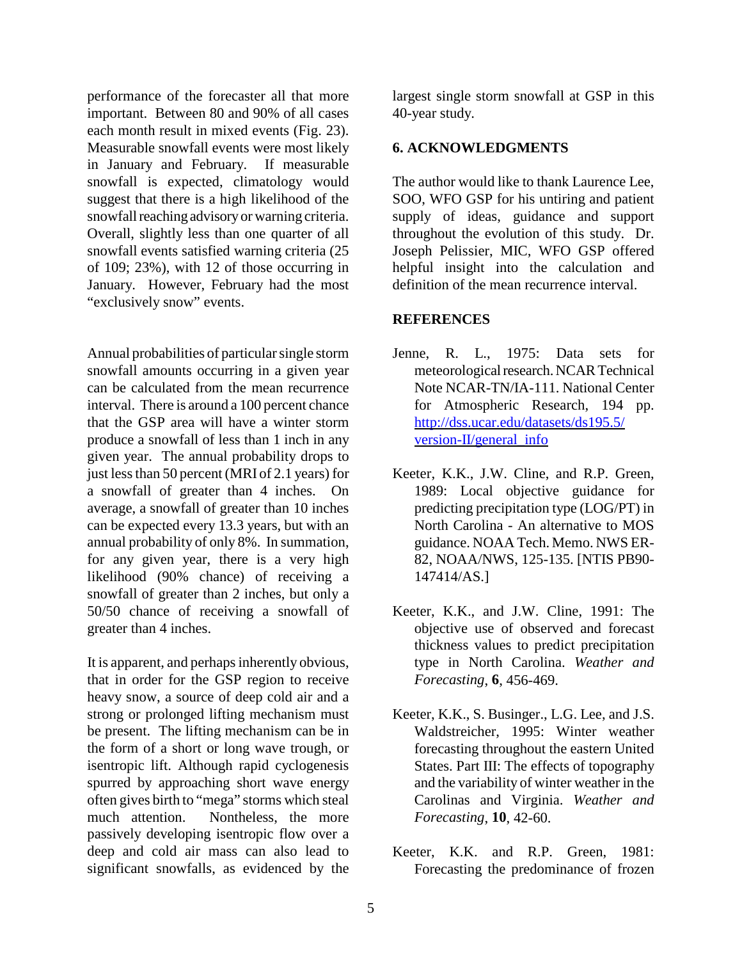performance of the forecaster all that more important. Between 80 and 90% of all cases each month result in mixed events (Fig. 23). Measurable snowfall events were most likely in January and February. If measurable snowfall is expected, climatology would suggest that there is a high likelihood of the snowfall reaching advisory or warning criteria. Overall, slightly less than one quarter of all snowfall events satisfied warning criteria (25 of 109; 23%), with 12 of those occurring in January. However, February had the most "exclusively snow" events.

Annual probabilities of particular single storm snowfall amounts occurring in a given year can be calculated from the mean recurrence interval. There is around a 100 percent chance that the GSP area will have a winter storm produce a snowfall of less than 1 inch in any given year. The annual probability drops to just less than 50 percent (MRI of 2.1 years) for a snowfall of greater than 4 inches. On average, a snowfall of greater than 10 inches can be expected every 13.3 years, but with an annual probability of only 8%. In summation, for any given year, there is a very high likelihood (90% chance) of receiving a snowfall of greater than 2 inches, but only a 50/50 chance of receiving a snowfall of greater than 4 inches.

It is apparent, and perhaps inherently obvious, that in order for the GSP region to receive heavy snow, a source of deep cold air and a strong or prolonged lifting mechanism must be present. The lifting mechanism can be in the form of a short or long wave trough, or isentropic lift. Although rapid cyclogenesis spurred by approaching short wave energy often gives birth to "mega" storms which steal much attention. Nontheless, the more passively developing isentropic flow over a deep and cold air mass can also lead to significant snowfalls, as evidenced by the largest single storm snowfall at GSP in this 40-year study.

#### **6. ACKNOWLEDGMENTS**

The author would like to thank Laurence Lee, SOO, WFO GSP for his untiring and patient supply of ideas, guidance and support throughout the evolution of this study. Dr. Joseph Pelissier, MIC, WFO GSP offered helpful insight into the calculation and definition of the mean recurrence interval.

#### **REFERENCES**

- Jenne, R. L., 1975: Data sets for meteorological research. NCAR Technical Note NCAR-TN/IA-111. National Center for Atmospheric Research, 194 pp. http://dss.ucar.edu/datasets/ds195.5/ version-II/general\_info
- Keeter, K.K., J.W. Cline, and R.P. Green, 1989: Local objective guidance for predicting precipitation type (LOG/PT) in North Carolina - An alternative to MOS guidance. NOAA Tech. Memo. NWS ER-82, NOAA/NWS, 125-135. [NTIS PB90- 147414/AS.]
- Keeter, K.K., and J.W. Cline, 1991: The objective use of observed and forecast thickness values to predict precipitation type in North Carolina. *Weather and Forecasting*, **6**, 456-469.
- Keeter, K.K., S. Businger., L.G. Lee, and J.S. Waldstreicher, 1995: Winter weather forecasting throughout the eastern United States. Part III: The effects of topography and the variability of winter weather in the Carolinas and Virginia. *Weather and Forecasting*, **10**, 42-60.
- Keeter, K.K. and R.P. Green, 1981: Forecasting the predominance of frozen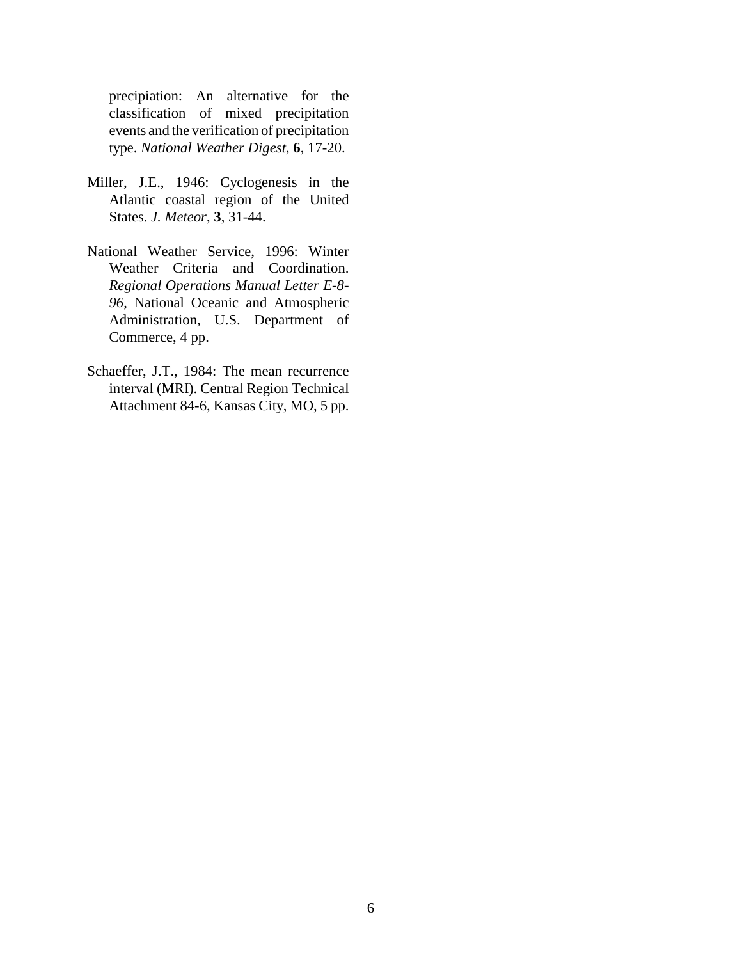precipiation: An alternative for the classification of mixed precipitation events and the verification of precipitation type. *National Weather Digest*, **6**, 17-20.

- Miller, J.E., 1946: Cyclogenesis in the Atlantic coastal region of the United States. *J. Meteor*, **3**, 31-44.
- National Weather Service, 1996: Winter Weather Criteria and Coordination. *Regional Operations Manual Letter E-8- 96*, National Oceanic and Atmospheric Administration, U.S. Department of Commerce, 4 pp.
- Schaeffer, J.T., 1984: The mean recurrence interval (MRI). Central Region Technical Attachment 84-6, Kansas City, MO, 5 pp.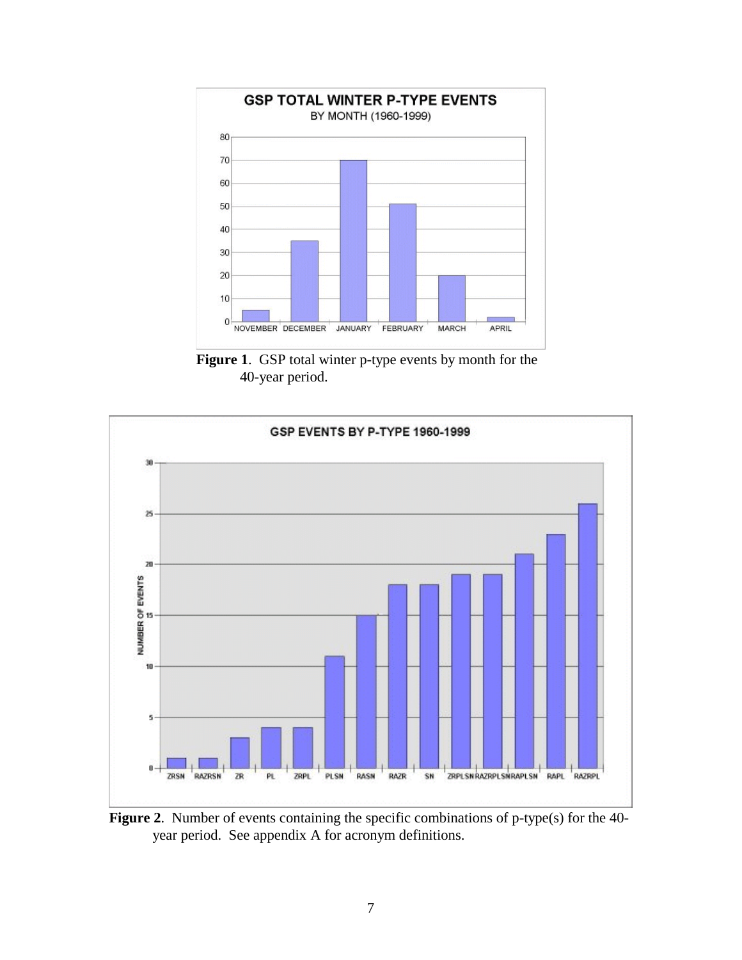

**Figure 1**. GSP total winter p-type events by month for the 40-year period.



**Figure 2**. Number of events containing the specific combinations of p-type(s) for the 40 year period. See appendix A for acronym definitions.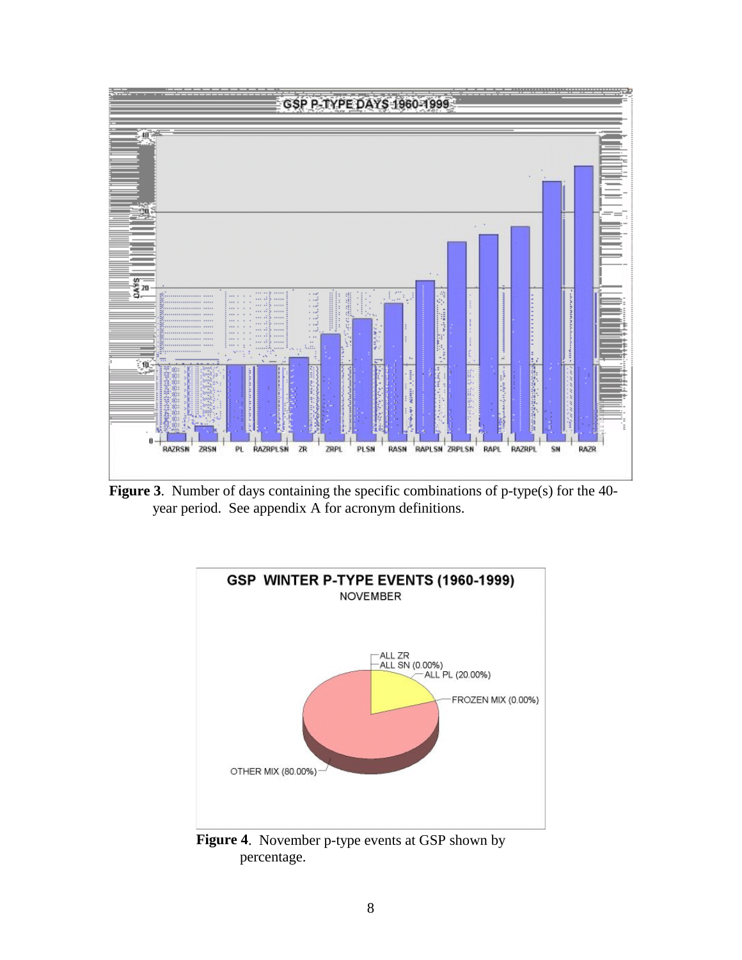

**Figure 3**. Number of days containing the specific combinations of p-type(s) for the 40 year period. See appendix A for acronym definitions.



**Figure 4**. November p-type events at GSP shown by percentage.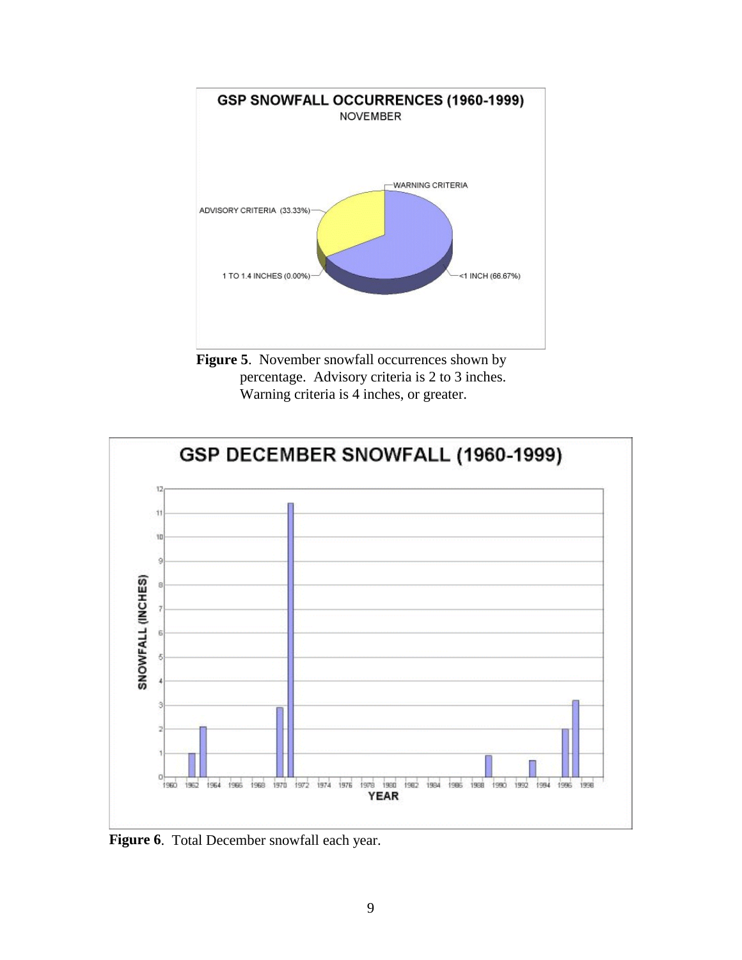

**Figure 5.** November snowfall occurrences shown by percentage. Advisory criteria is 2 to 3 inches. Warning criteria is 4 inches, or greater.



**Figure 6**. Total December snowfall each year.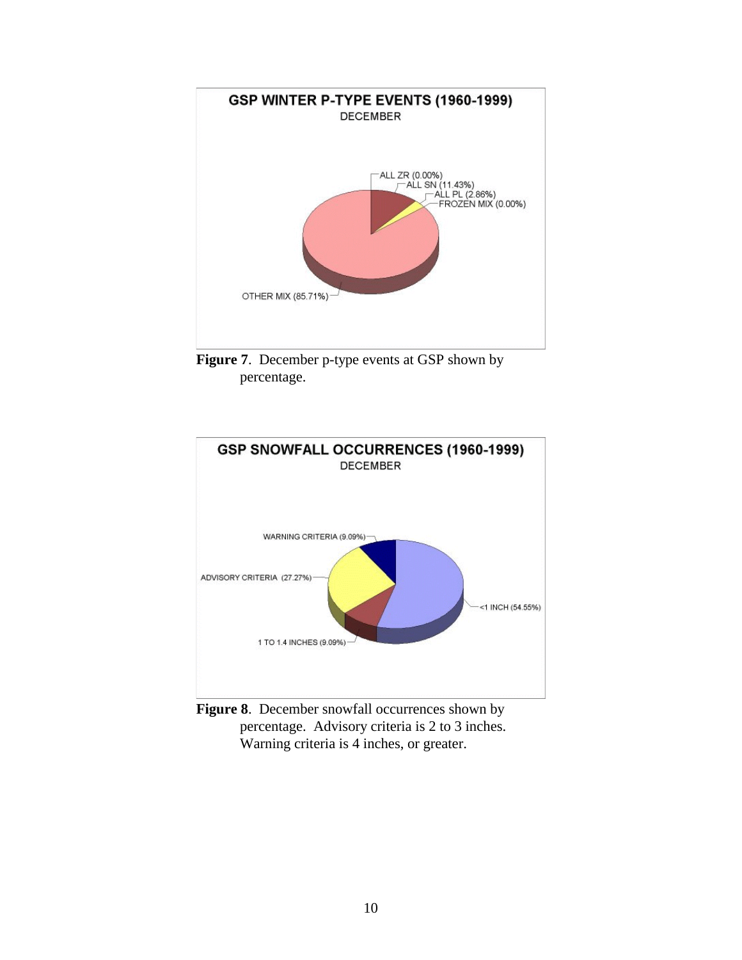

**Figure 7.** December p-type events at GSP shown by percentage.



Figure 8. December snowfall occurrences shown by percentage. Advisory criteria is 2 to 3 inches. Warning criteria is 4 inches, or greater.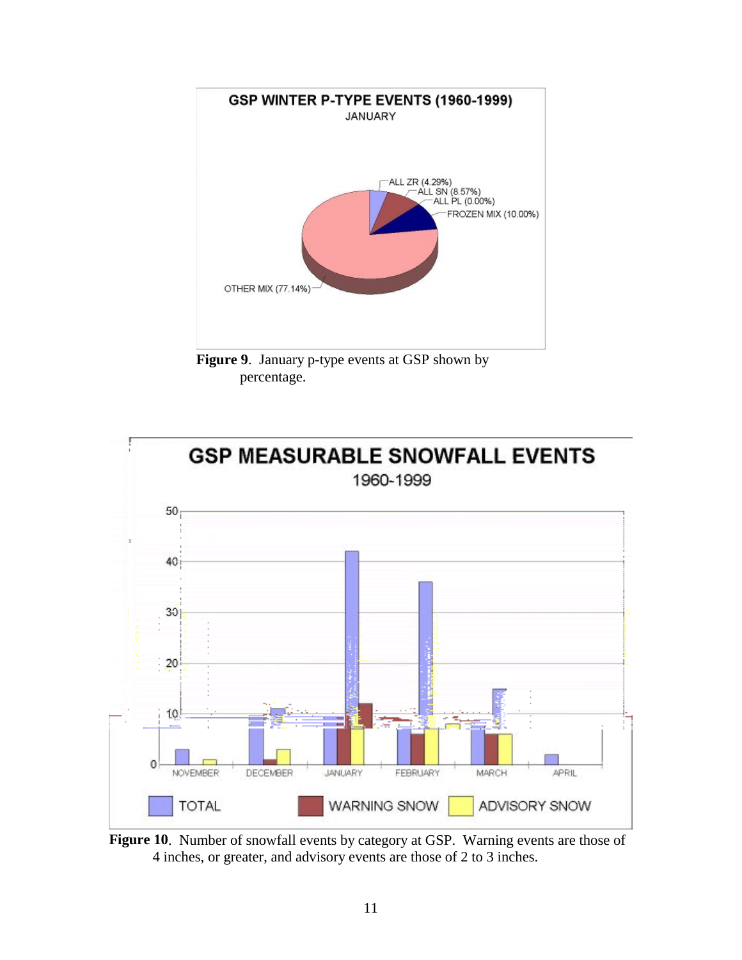

**Figure 9**. January p-type events at GSP shown by percentage.



**Figure 10**. Number of snowfall events by category at GSP. Warning events are those of 4 inches, or greater, and advisory events are those of 2 to 3 inches.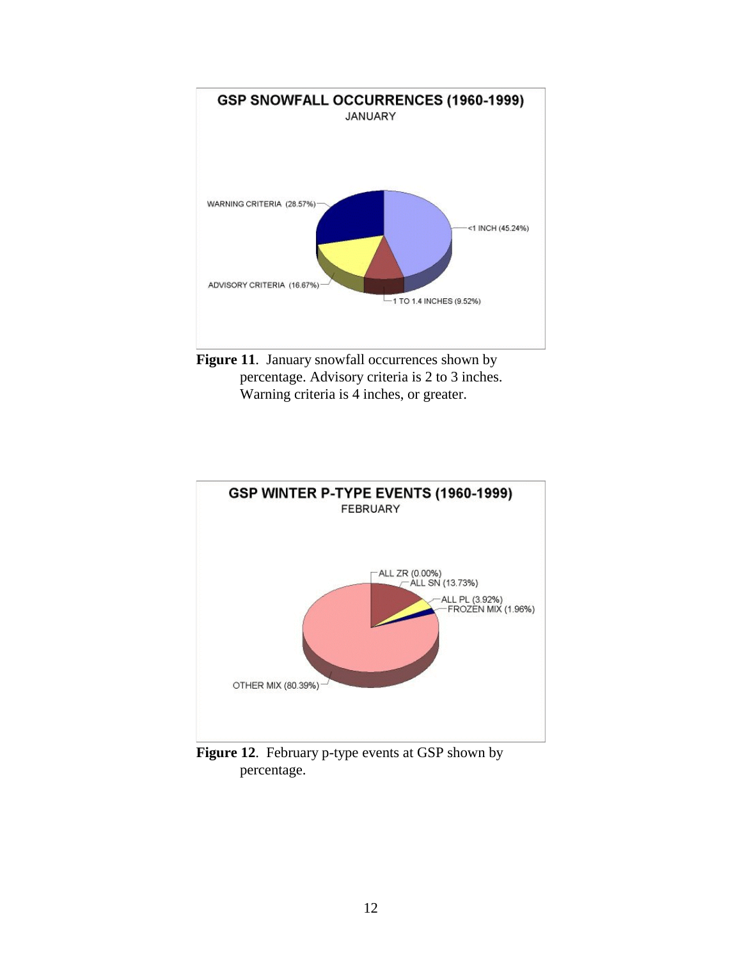

Figure 11. January snowfall occurrences shown by percentage. Advisory criteria is 2 to 3 inches. Warning criteria is 4 inches, or greater.



**Figure 12**. February p-type events at GSP shown by percentage.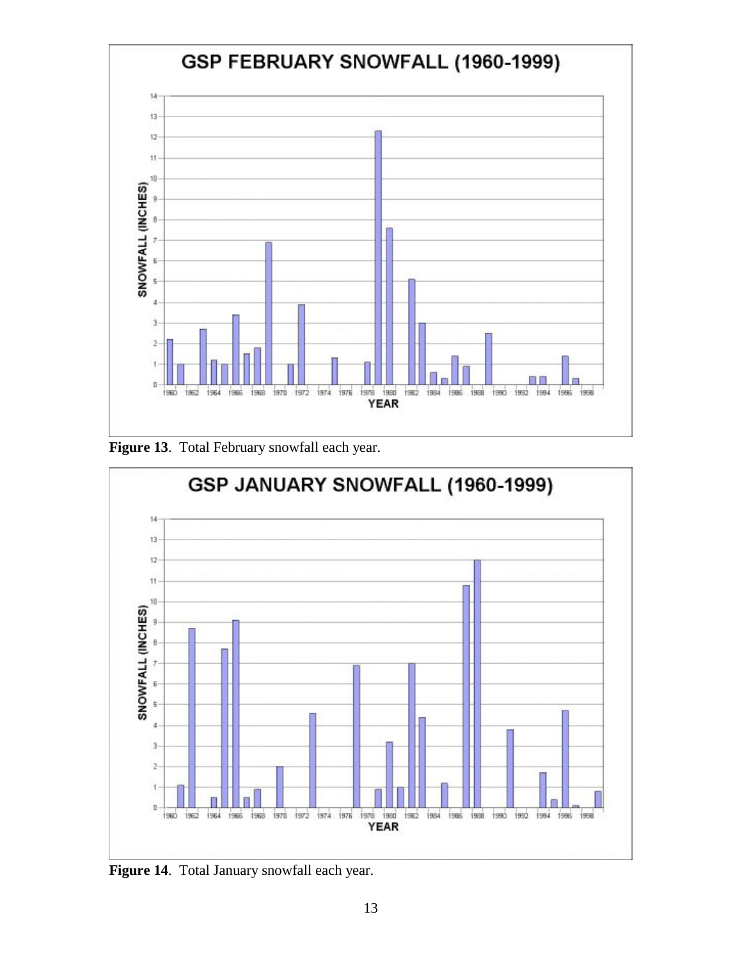

**Figure 13**. Total February snowfall each year.



**Figure 14**. Total January snowfall each year.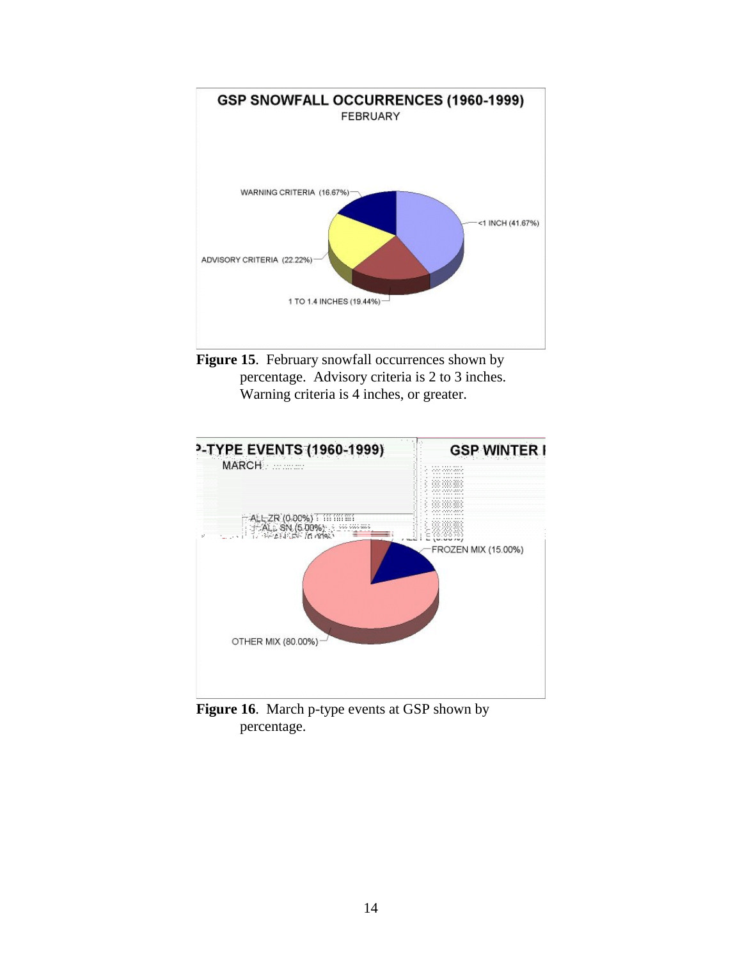

Figure 15. February snowfall occurrences shown by percentage. Advisory criteria is 2 to 3 inches. Warning criteria is 4 inches, or greater.



**Figure 16**. March p-type events at GSP shown by percentage.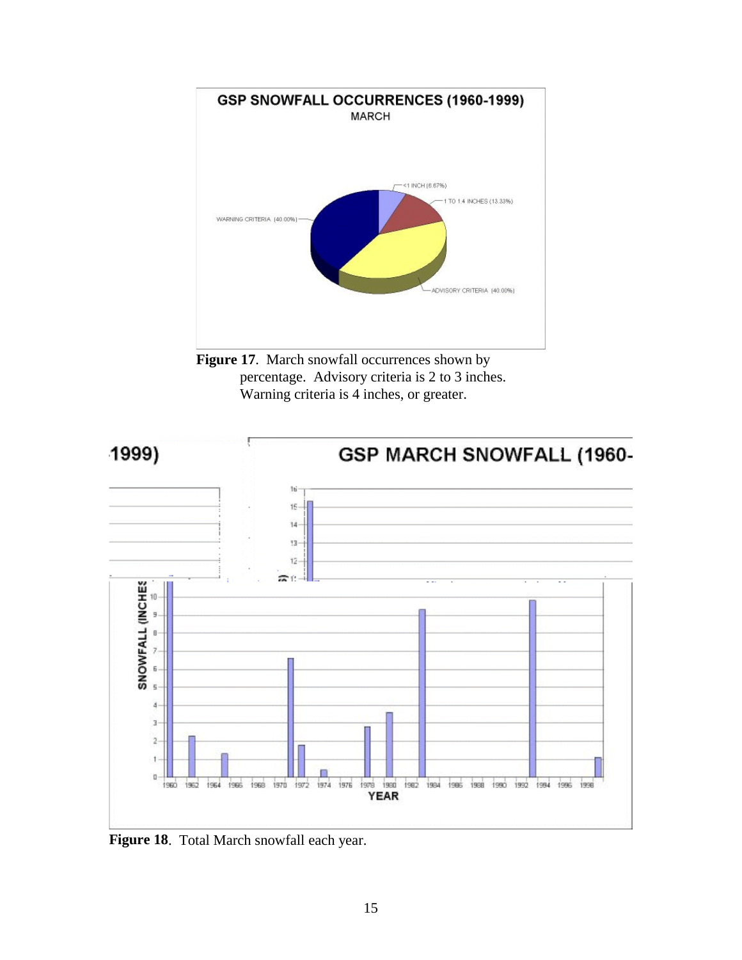

Figure 17. March snowfall occurrences shown by percentage. Advisory criteria is 2 to 3 inches. Warning criteria is 4 inches, or greater.



**Figure 18**. Total March snowfall each year.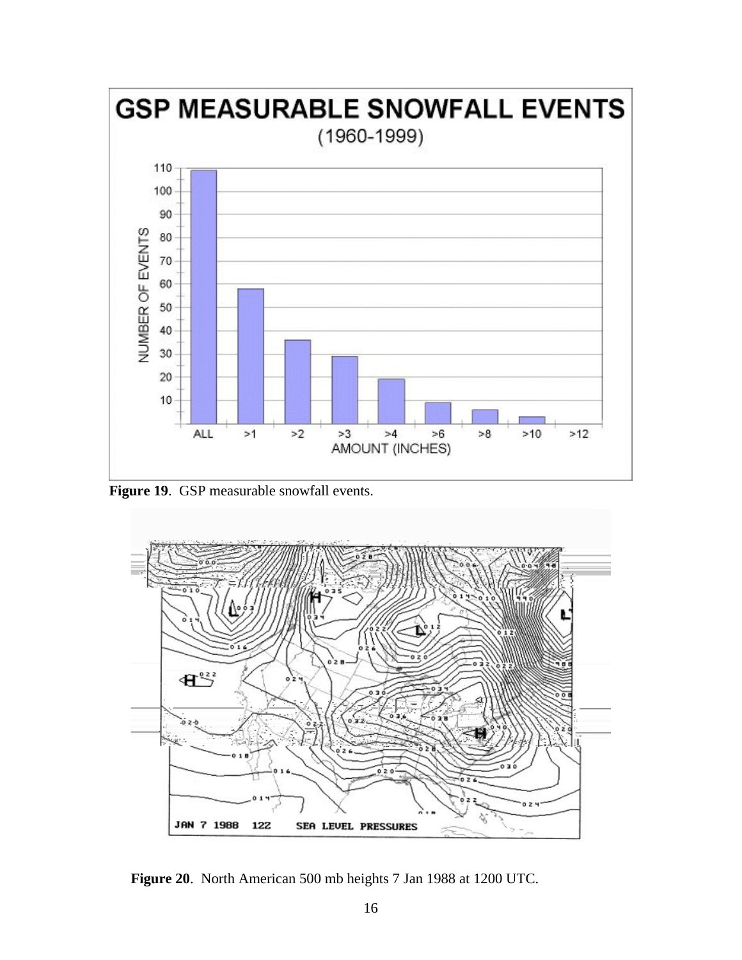

**Figure 19**. GSP measurable snowfall events.



**Figure 20**. North American 500 mb heights 7 Jan 1988 at 1200 UTC.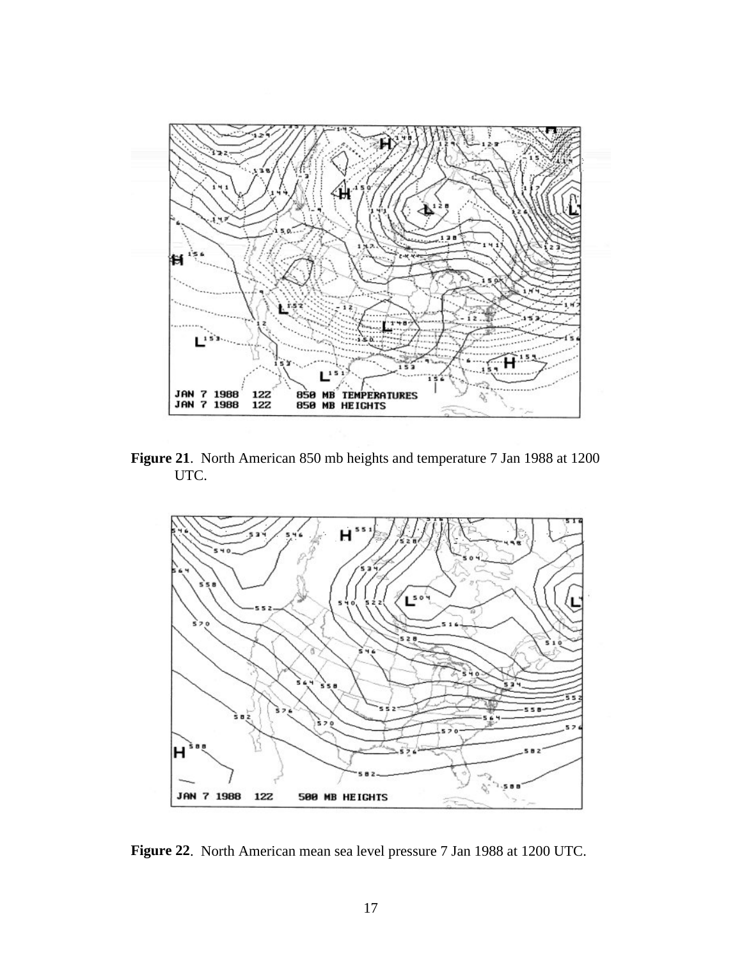

**Figure 21**. North American 850 mb heights and temperature 7 Jan 1988 at 1200 UTC.



**Figure 22**. North American mean sea level pressure 7 Jan 1988 at 1200 UTC.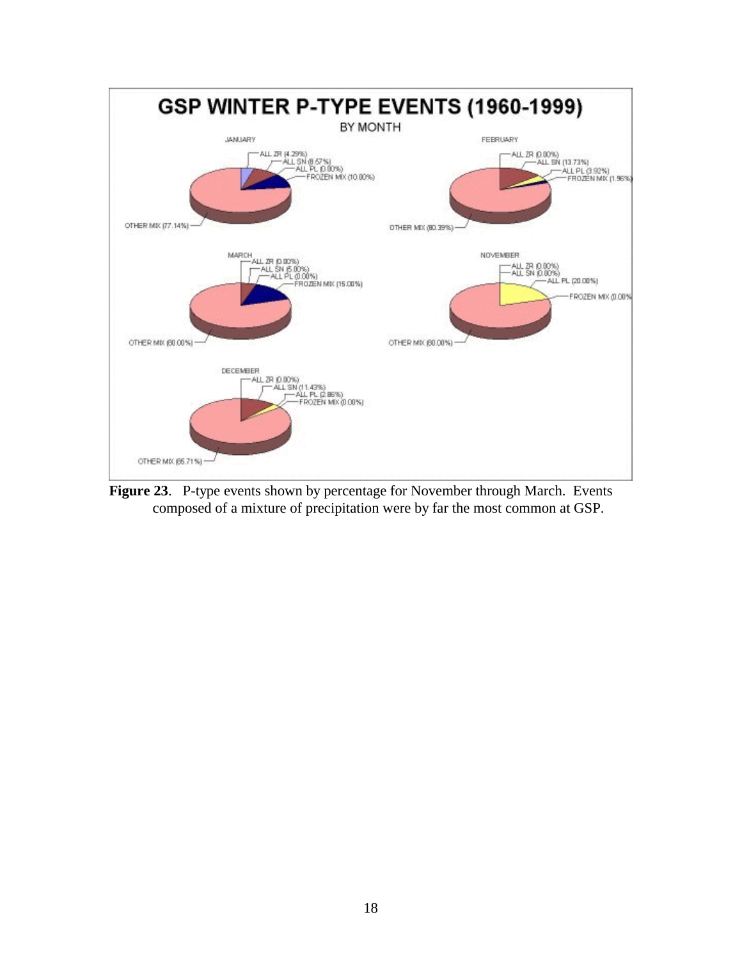

**Figure 23**. P-type events shown by percentage for November through March. Events composed of a mixture of precipitation were by far the most common at GSP.